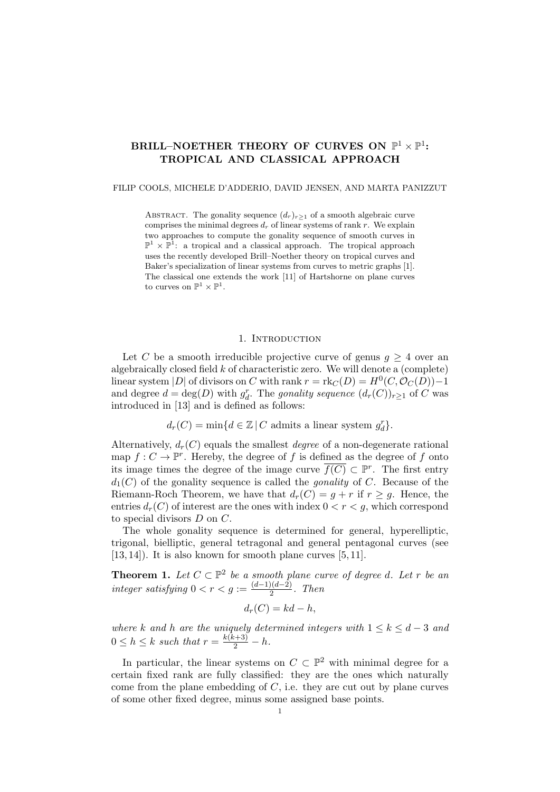# BRILL–NOETHER THEORY OF CURVES ON  $\mathbb{P}^1 \times \mathbb{P}^1$ : TROPICAL AND CLASSICAL APPROACH

### FILIP COOLS, MICHELE D'ADDERIO, DAVID JENSEN, AND MARTA PANIZZUT

ABSTRACT. The gonality sequence  $(d_r)_{r\geq 1}$  of a smooth algebraic curve comprises the minimal degrees  $d_r$  of linear systems of rank r. We explain two approaches to compute the gonality sequence of smooth curves in  $\mathbb{P}^1 \times \mathbb{P}^1$ : a tropical and a classical approach. The tropical approach uses the recently developed Brill–Noether theory on tropical curves and Baker's specialization of linear systems from curves to metric graphs [1]. The classical one extends the work [11] of Hartshorne on plane curves to curves on  $\mathbb{P}^1 \times \mathbb{P}^1$ .

## 1. Introduction

Let C be a smooth irreducible projective curve of genus  $g \geq 4$  over an algebraically closed field  $k$  of characteristic zero. We will denote a (complete) linear system |D| of divisors on C with rank  $r = \text{rk}_C(D) = H^0(C, \mathcal{O}_C(D)) - 1$ and degree  $d = \deg(D)$  with  $g_d^r$ . The *gonality sequence*  $(d_r(C))_{r \geq 1}$  of C was introduced in [13] and is defined as follows:

 $d_r(C) = \min\{d \in \mathbb{Z} \mid C \text{ admits a linear system } g_d^r\}.$ 

Alternatively,  $d_r(C)$  equals the smallest *degree* of a non-degenerate rational map  $f: C \to \mathbb{P}^r$ . Hereby, the degree of f is defined as the degree of f onto its image times the degree of the image curve  $\overline{f(C)} \subset \mathbb{P}^r$ . The first entry  $d_1(C)$  of the gonality sequence is called the *gonality* of C. Because of the Riemann-Roch Theorem, we have that  $d_r(C) = g + r$  if  $r \geq g$ . Hence, the entries  $d_r(C)$  of interest are the ones with index  $0 < r < g$ , which correspond to special divisors  $D$  on  $C$ .

The whole gonality sequence is determined for general, hyperelliptic, trigonal, bielliptic, general tetragonal and general pentagonal curves (see  $[13, 14]$ . It is also known for smooth plane curves  $[5, 11]$ .

**Theorem 1.** Let  $C \subset \mathbb{P}^2$  be a smooth plane curve of degree d. Let r be an integer satisfying  $0 < r < g := \frac{(d-1)(d-2)}{2}$  $\frac{2(n-2)}{2}$ . Then

$$
d_r(C) = kd - h,
$$

where k and h are the uniquely determined integers with  $1 \leq k \leq d-3$  and  $0 \leq h \leq k$  such that  $r = \frac{k(k+3)}{2} - h$ .

In particular, the linear systems on  $C \subset \mathbb{P}^2$  with minimal degree for a certain fixed rank are fully classified: they are the ones which naturally come from the plane embedding of  $C$ , i.e. they are cut out by plane curves of some other fixed degree, minus some assigned base points.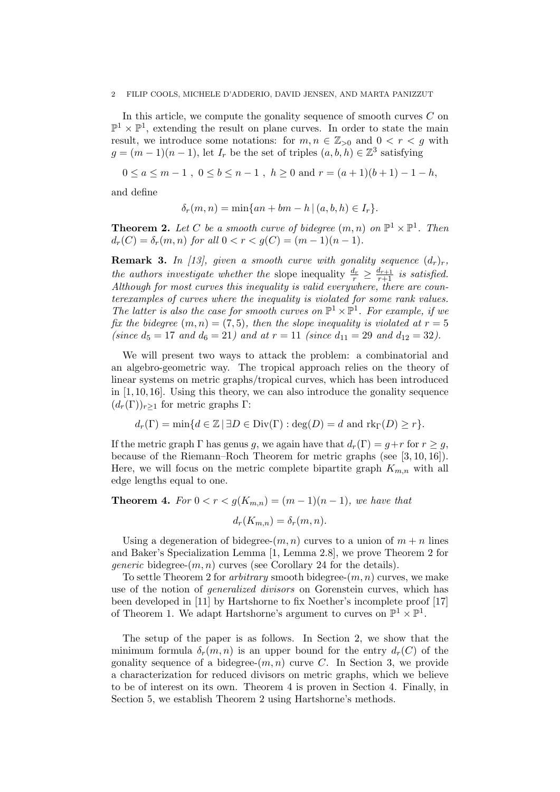In this article, we compute the gonality sequence of smooth curves C on  $\mathbb{P}^1 \times \mathbb{P}^1$ , extending the result on plane curves. In order to state the main result, we introduce some notations: for  $m, n \in \mathbb{Z}_{>0}$  and  $0 < r < q$  with  $g = (m-1)(n-1)$ , let  $I_r$  be the set of triples  $(a, b, h) \in \mathbb{Z}^3$  satisfying

 $0 \le a \le m-1$ ,  $0 \le b \le n-1$ ,  $h > 0$  and  $r = (a+1)(b+1) - 1 - h$ ,

and define

$$
\delta_r(m, n) = \min\{an + bm - h \mid (a, b, h) \in I_r\}.
$$

**Theorem 2.** Let C be a smooth curve of bidegree  $(m, n)$  on  $\mathbb{P}^1 \times \mathbb{P}^1$ . Then  $d_r(C) = \delta_r(m, n)$  for all  $0 < r < g(C) = (m - 1)(n - 1)$ .

**Remark 3.** In [13], given a smooth curve with gonality sequence  $(d_r)_r$ , the authors investigate whether the slope inequality  $\frac{d_r}{r} \geq \frac{d_{r+1}}{r+1}$  is satisfied. Although for most curves this inequality is valid everywhere, there are counterexamples of curves where the inequality is violated for some rank values. The latter is also the case for smooth curves on  $\mathbb{P}^1 \times \mathbb{P}^1$ . For example, if we fix the bidegree  $(m, n) = (7, 5)$ , then the slope inequality is violated at  $r = 5$ (since  $d_5 = 17$  and  $d_6 = 21$ ) and at  $r = 11$  (since  $d_{11} = 29$  and  $d_{12} = 32$ ).

We will present two ways to attack the problem: a combinatorial and an algebro-geometric way. The tropical approach relies on the theory of linear systems on metric graphs/tropical curves, which has been introduced in  $[1, 10, 16]$ . Using this theory, we can also introduce the gonality sequence  $(d_r(\Gamma))_{r>1}$  for metric graphs Γ:

$$
d_r(\Gamma) = \min\{d \in \mathbb{Z} \mid \exists D \in \text{Div}(\Gamma) : \text{deg}(D) = d \text{ and } \text{rk}_{\Gamma}(D) \geq r\}.
$$

If the metric graph  $\Gamma$  has genus g, we again have that  $d_r(\Gamma) = g+r$  for  $r \geq g$ , because of the Riemann–Roch Theorem for metric graphs (see [3, 10, 16]). Here, we will focus on the metric complete bipartite graph  $K_{m,n}$  with all edge lengths equal to one.

**Theorem 4.** For  $0 < r < g(K_{m,n}) = (m-1)(n-1)$ , we have that  $d_r(K_{m,n}) = \delta_r(m,n).$ 

Using a degeneration of bidegree- $(m, n)$  curves to a union of  $m + n$  lines and Baker's Specialization Lemma [1, Lemma 2.8], we prove Theorem 2 for *generic* bidegree- $(m, n)$  curves (see Corollary 24 for the details).

To settle Theorem 2 for *arbitrary* smooth bidegree- $(m, n)$  curves, we make use of the notion of generalized divisors on Gorenstein curves, which has been developed in [11] by Hartshorne to fix Noether's incomplete proof [17] of Theorem 1. We adapt Hartshorne's argument to curves on  $\mathbb{P}^1 \times \mathbb{P}^1$ .

The setup of the paper is as follows. In Section 2, we show that the minimum formula  $\delta_r(m,n)$  is an upper bound for the entry  $d_r(C)$  of the gonality sequence of a bidegree- $(m, n)$  curve C. In Section 3, we provide a characterization for reduced divisors on metric graphs, which we believe to be of interest on its own. Theorem 4 is proven in Section 4. Finally, in Section 5, we establish Theorem 2 using Hartshorne's methods.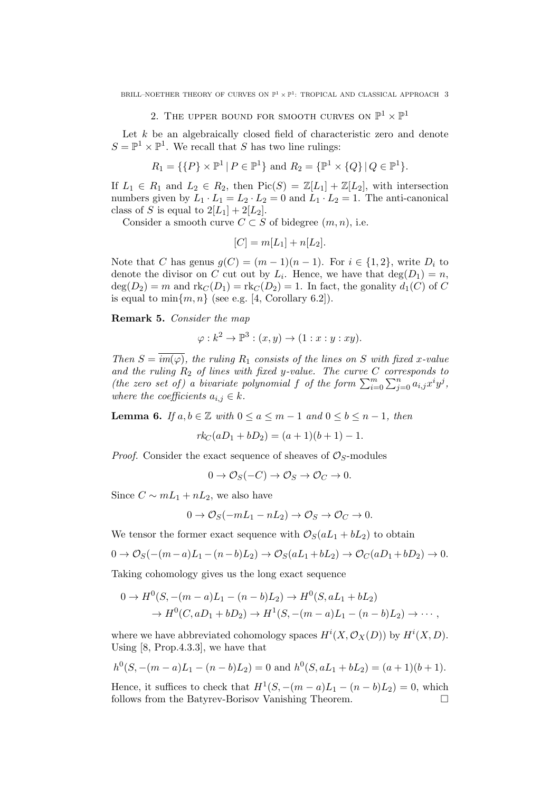BRILL–NOETHER THEORY OF CURVES ON  $\mathbb{P}^1 \times \mathbb{P}^1$ : TROPICAL AND CLASSICAL APPROACH 3

# 2. THE UPPER BOUND FOR SMOOTH CURVES ON  $\mathbb{P}^1 \times \mathbb{P}^1$

Let  $k$  be an algebraically closed field of characteristic zero and denote  $S = \mathbb{P}^1 \times \mathbb{P}^1$ . We recall that S has two line rulings:

$$
R_1 = \{ \{P\} \times \mathbb{P}^1 \mid P \in \mathbb{P}^1 \} \text{ and } R_2 = \{ \mathbb{P}^1 \times \{Q\} \mid Q \in \mathbb{P}^1 \}.
$$

If  $L_1 \in R_1$  and  $L_2 \in R_2$ , then  $Pic(S) = \mathbb{Z}[L_1] + \mathbb{Z}[L_2]$ , with intersection numbers given by  $L_1 \cdot L_1 = L_2 \cdot L_2 = 0$  and  $L_1 \cdot L_2 = 1$ . The anti-canonical class of S is equal to  $2[L_1] + 2[L_2]$ .

Consider a smooth curve  $C \subset S$  of bidegree  $(m, n)$ , i.e.

$$
[C] = m[L_1] + n[L_2].
$$

Note that C has genus  $g(C) = (m-1)(n-1)$ . For  $i \in \{1,2\}$ , write  $D_i$  to denote the divisor on C cut out by  $L_i$ . Hence, we have that  $deg(D_1) = n$ ,  $deg(D_2) = m$  and  $rk_C(D_1) = rk_C(D_2) = 1$ . In fact, the gonality  $d_1(C)$  of C is equal to  $\min\{m, n\}$  (see e.g. [4, Corollary 6.2]).

Remark 5. Consider the map

$$
\varphi: k^2 \to \mathbb{P}^3 : (x, y) \to (1 : x : y : xy).
$$

Then  $S = \overline{im(\varphi)}$ , the ruling  $R_1$  consists of the lines on S with fixed x-value and the ruling  $R_2$  of lines with fixed y-value. The curve  $C$  corresponds to (the zero set of) a bivariate polynomial f of the form  $\sum_{i=0}^{m} \sum_{j=0}^{n} a_{i,j} x^{i} y^{j}$ , where the coefficients  $a_{i,j} \in k$ .

**Lemma 6.** If  $a, b \in \mathbb{Z}$  with  $0 \le a \le m-1$  and  $0 \le b \le n-1$ , then

$$
rk_C(aD_1 + bD_2) = (a+1)(b+1) - 1.
$$

*Proof.* Consider the exact sequence of sheaves of  $\mathcal{O}_S$ -modules

$$
0 \to \mathcal{O}_S(-C) \to \mathcal{O}_S \to \mathcal{O}_C \to 0.
$$

Since  $C \sim mL_1 + nL_2$ , we also have

$$
0 \to \mathcal{O}_S(-mL_1 - nL_2) \to \mathcal{O}_S \to \mathcal{O}_C \to 0.
$$

We tensor the former exact sequence with  $\mathcal{O}_S(aL_1 + bL_2)$  to obtain

$$
0 \to \mathcal{O}_S(-(m-a)L_1-(n-b)L_2) \to \mathcal{O}_S(aL_1+bL_2) \to \mathcal{O}_C(aD_1+bD_2) \to 0.
$$

Taking cohomology gives us the long exact sequence

$$
0 \to H^0(S, -(m-a)L_1 - (n-b)L_2) \to H^0(S, aL_1 + bL_2)
$$
  
\n
$$
\to H^0(C, aD_1 + bD_2) \to H^1(S, -(m-a)L_1 - (n-b)L_2) \to \cdots,
$$

where we have abbreviated cohomology spaces  $H^i(X, \mathcal{O}_X(D))$  by  $H^i(X, D)$ . Using [8, Prop.4.3.3], we have that

$$
h0(S, -(m-a)L1 - (n - b)L2) = 0 \text{ and } h0(S, aL1 + bL2) = (a + 1)(b + 1).
$$

Hence, it suffices to check that  $H^1(S, -(m-a)L_1 - (n-b)L_2) = 0$ , which follows from the Batyrev-Borisov Vanishing Theorem.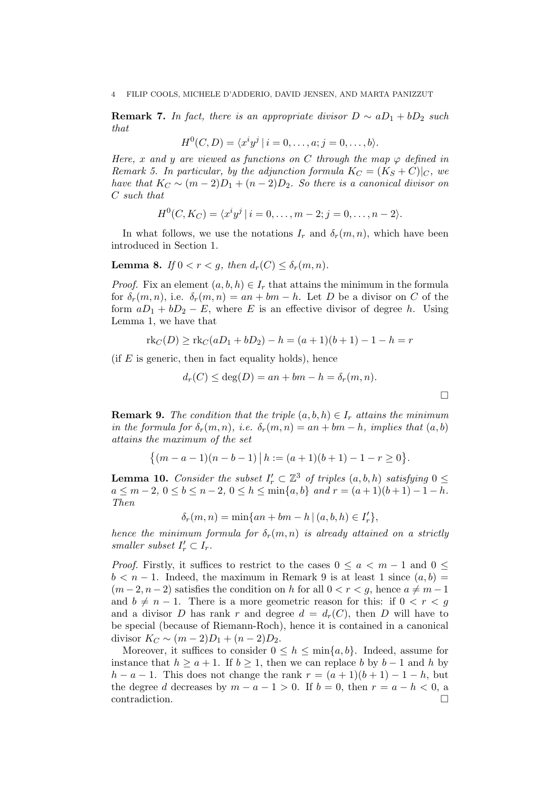**Remark 7.** In fact, there is an appropriate divisor  $D \sim aD_1 + bD_2$  such that

$$
H^{0}(C, D) = \langle x^{i}y^{j} | i = 0, \ldots, a; j = 0, \ldots, b \rangle.
$$

Here, x and y are viewed as functions on C through the map  $\varphi$  defined in Remark 5. In particular, by the adjunction formula  $K_C = (K_S + C)|_C$ , we have that  $K_C \sim (m-2)D_1 + (n-2)D_2$ . So there is a canonical divisor on C such that

$$
H^{0}(C, K_{C}) = \langle x^{i}y^{j} | i = 0, \ldots, m-2; j = 0, \ldots, n-2 \rangle.
$$

In what follows, we use the notations  $I_r$  and  $\delta_r(m,n)$ , which have been introduced in Section 1.

**Lemma 8.** If  $0 < r < q$ , then  $d_r(C) \leq \delta_r(m, n)$ .

*Proof.* Fix an element  $(a, b, h) \in I_r$  that attains the minimum in the formula for  $\delta_r(m,n)$ , i.e.  $\delta_r(m,n) = an + bm - h$ . Let D be a divisor on C of the form  $aD_1 + bD_2 - E$ , where E is an effective divisor of degree h. Using Lemma 1, we have that

$$
rk_C(D) \geq rk_C(aD_1 + bD_2) - h = (a+1)(b+1) - 1 - h = r
$$

(if  $E$  is generic, then in fact equality holds), hence

$$
d_r(C) \le \deg(D) = an + bm - h = \delta_r(m, n).
$$

 $\Box$ 

**Remark 9.** The condition that the triple  $(a, b, h) \in I_r$  attains the minimum in the formula for  $\delta_r(m,n)$ , i.e.  $\delta_r(m,n) = an + bm - h$ , implies that  $(a,b)$ attains the maximum of the set

$$
\{(m-a-1)(n-b-1) | h := (a+1)(b+1) - 1 - r \ge 0\}.
$$

**Lemma 10.** Consider the subset  $I'_r \subset \mathbb{Z}^3$  of triples  $(a, b, h)$  satisfying  $0 \leq$  $a \leq m-2, 0 \leq b \leq n-2, 0 \leq h \leq \min\{a, b\}$  and  $r = (a+1)(b+1)-1-h$ . Then

$$
\delta_r(m, n) = \min\{an + bm - h \mid (a, b, h) \in I'_r\},\
$$

hence the minimum formula for  $\delta_r(m,n)$  is already attained on a strictly smaller subset  $I'_r \subset I_r$ .

*Proof.* Firstly, it suffices to restrict to the cases  $0 \le a < m - 1$  and  $0 \le$  $b < n-1$ . Indeed, the maximum in Remark 9 is at least 1 since  $(a, b)$  $(m-2, n-2)$  satisfies the condition on h for all  $0 < r < g$ , hence  $a \neq m-1$ and  $b \neq n - 1$ . There is a more geometric reason for this: if  $0 < r < g$ and a divisor D has rank r and degree  $d = d_r(C)$ , then D will have to be special (because of Riemann-Roch), hence it is contained in a canonical divisor  $K_C \sim (m-2)D_1 + (n-2)D_2$ .

Moreover, it suffices to consider  $0 \leq h \leq \min\{a, b\}$ . Indeed, assume for instance that  $h \ge a + 1$ . If  $b \ge 1$ , then we can replace b by  $b - 1$  and h by  $h - a - 1$ . This does not change the rank  $r = (a + 1)(b + 1) - 1 - h$ , but the degree d decreases by  $m - a - 1 > 0$ . If  $b = 0$ , then  $r = a - h < 0$ , a contradiction.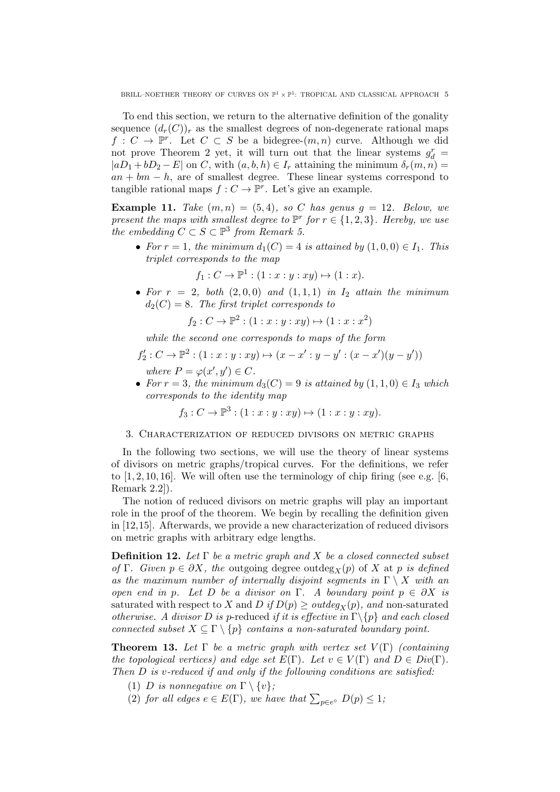BRILL–NOETHER THEORY OF CURVES ON  $\mathbb{P}^1 \times \mathbb{P}^1$ : TROPICAL AND CLASSICAL APPROACH 5

To end this section, we return to the alternative definition of the gonality sequence  $(d_r(C))_r$  as the smallest degrees of non-degenerate rational maps  $f: C \to \mathbb{P}^r$ . Let  $C \subset S$  be a bidegree- $(m, n)$  curve. Although we did not prove Theorem 2 yet, it will turn out that the linear systems  $g_d^r =$  $|aD_1 + bD_2 - E|$  on C, with  $(a, b, h) \in I_r$  attaining the minimum  $\delta_r(m, n) =$  $an + bm - h$ , are of smallest degree. These linear systems correspond to tangible rational maps  $f: C \to \mathbb{P}^r$ . Let's give an example.

**Example 11.** Take  $(m, n) = (5, 4)$ , so C has genus  $q = 12$ . Below, we present the maps with smallest degree to  $\mathbb{P}^r$  for  $r \in \{1, 2, 3\}$ . Hereby, we use the embedding  $C \subset S \subset \mathbb{P}^3$  from Remark 5.

• For  $r = 1$ , the minimum  $d_1(C) = 4$  is attained by  $(1, 0, 0) \in I_1$ . This triplet corresponds to the map

$$
f_1: C \to \mathbb{P}^1: (1: x: y: xy) \mapsto (1: x).
$$

• For  $r = 2$ , both  $(2, 0, 0)$  and  $(1, 1, 1)$  in  $I_2$  attain the minimum  $d_2(C) = 8$ . The first triplet corresponds to

$$
f_2: C \to \mathbb{P}^2 : (1 : x : y : xy) \mapsto (1 : x : x^2)
$$

while the second one corresponds to maps of the form

$$
f_2': C \to \mathbb{P}^2 : (1 : x : y : xy) \mapsto (x - x' : y - y' : (x - x')(y - y'))
$$
  
where  $P = \varphi(x', y') \in C$ .

• For  $r = 3$ , the minimum  $d_3(C) = 9$  is attained by  $(1, 1, 0) \in I_3$  which corresponds to the identity map

$$
f_3: C \to \mathbb{P}^3 : (1: x: y: xy) \mapsto (1: x: y: xy).
$$

### 3. Characterization of reduced divisors on metric graphs

In the following two sections, we will use the theory of linear systems of divisors on metric graphs/tropical curves. For the definitions, we refer to  $[1, 2, 10, 16]$ . We will often use the terminology of chip firing (see e.g. [6, Remark 2.2]).

The notion of reduced divisors on metric graphs will play an important role in the proof of the theorem. We begin by recalling the definition given in [12,15]. Afterwards, we provide a new characterization of reduced divisors on metric graphs with arbitrary edge lengths.

**Definition 12.** Let  $\Gamma$  be a metric graph and X be a closed connected subset of Γ. Given  $p \in \partial X$ , the outgoing degree outdeg<sub>X</sub>(p) of X at p is defined as the maximum number of internally disjoint segments in  $\Gamma \setminus X$  with an open end in p. Let D be a divisor on Γ. A boundary point  $p \in \partial X$  is saturated with respect to X and D if  $D(p) \geq outdeg_X(p)$ , and non-saturated otherwise. A divisor D is p-reduced if it is effective in  $\Gamma \backslash \{p\}$  and each closed connected subset  $X \subseteq \Gamma \setminus \{p\}$  contains a non-saturated boundary point.

**Theorem 13.** Let  $\Gamma$  be a metric graph with vertex set  $V(\Gamma)$  (containing the topological vertices) and edge set  $E(\Gamma)$ . Let  $v \in V(\Gamma)$  and  $D \in Div(\Gamma)$ . Then D is v-reduced if and only if the following conditions are satisfied:

- (1) D is nonnegative on  $\Gamma \setminus \{v\};$
- (2) for all edges  $e \in E(\Gamma)$ , we have that  $\sum_{p \in e^{\circ}} D(p) \leq 1$ ;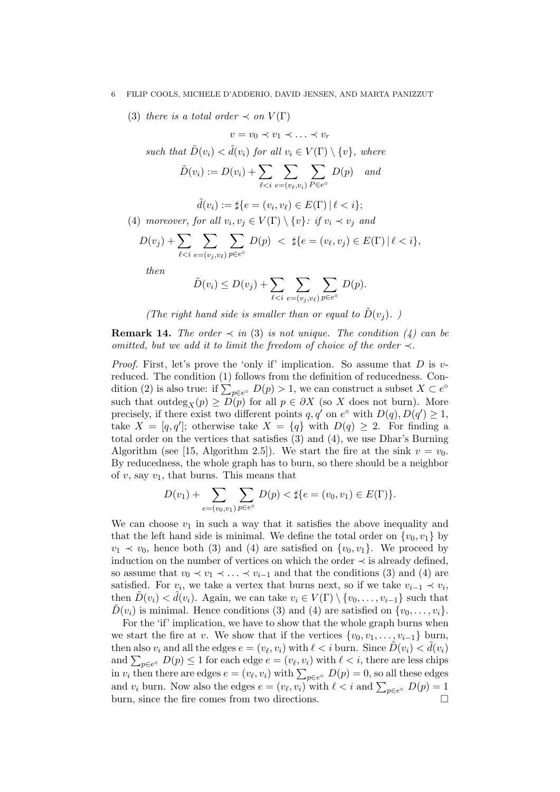(3) there is a total order  $\prec$  on  $V(\Gamma)$ 

such that 
$$
\tilde{D}(v_i) < \tilde{d}(v_i)
$$
 for all  $v_i \in V(\Gamma) \setminus \{v\}$ , where

$$
\tilde{D}(v_i) := D(v_i) + \sum_{\ell < i} \sum_{e = (v_\ell, v_i)} \sum_{P \in e^\circ} D(p) \quad \text{and}
$$

 $v = v_0 \prec v_1 \prec \ldots \prec v_r$ 

$$
\tilde{d}(v_i) := \sharp \{ e = (v_i, v_\ell) \in E(\Gamma) \mid \ell < i \};
$$

(4) moreover, for all  $v_i, v_j \in V(\Gamma) \setminus \{v\}$ : if  $v_i \prec v_j$  and

$$
D(v_j) + \sum_{\ell < i} \sum_{e = (v_j, v_\ell)} \sum_{p \in e^\circ} D(p) < \ \sharp\{e = (v_\ell, v_j) \in E(\Gamma) \, | \, \ell < i\},
$$

then

$$
\tilde{D}(v_i) \le D(v_j) + \sum_{\ell < i} \sum_{e = (v_j, v_\ell)} \sum_{p \in e^\circ} D(p).
$$

(The right hand side is smaller than or equal to  $\tilde{D}(v_i)$ .)

**Remark 14.** The order  $\prec$  in (3) is not unique. The condition (4) can be omitted, but we add it to limit the freedom of choice of the order  $\prec$ .

*Proof.* First, let's prove the 'only if' implication. So assume that  $D$  is vreduced. The condition (1) follows from the definition of reducedness. Condition (2) is also true: if  $\sum_{p \in e^{\circ}} D(p) > 1$ , we can construct a subset  $X \subset e^{\circ}$ such that outdeg<sub>X</sub> $(p) \ge D(p)$  for all  $p \in \partial X$  (so X does not burn). More precisely, if there exist two different points  $q, q'$  on  $e^{\circ}$  with  $D(q), D(q') \geq 1$ , take  $X = [q, q']$ ; otherwise take  $X = \{q\}$  with  $D(q) \geq 2$ . For finding a total order on the vertices that satisfies (3) and (4), we use Dhar's Burning Algorithm (see [15, Algorithm 2.5]). We start the fire at the sink  $v = v_0$ . By reducedness, the whole graph has to burn, so there should be a neighbor of  $v$ , say  $v_1$ , that burns. This means that

$$
D(v_1) + \sum_{e=(v_0, v_1)} \sum_{p \in e^{\circ}} D(p) < \sharp\{e = (v_0, v_1) \in E(\Gamma)\}.
$$

We can choose  $v_1$  in such a way that it satisfies the above inequality and that the left hand side is minimal. We define the total order on  $\{v_0, v_1\}$  by  $v_1 \prec v_0$ , hence both (3) and (4) are satisfied on  $\{v_0, v_1\}$ . We proceed by induction on the number of vertices on which the order  $\prec$  is already defined, so assume that  $v_0 \prec v_1 \prec \ldots \prec v_{i-1}$  and that the conditions (3) and (4) are satisfied. For  $v_i$ , we take a vertex that burns next, so if we take  $v_{i-1} \prec v_i$ , then  $\tilde{D}(v_i) < \tilde{d}(v_i)$ . Again, we can take  $v_i \in V(\Gamma) \setminus \{v_0, \ldots, v_{i-1}\}\$  such that  $\tilde{D}(v_i)$  is minimal. Hence conditions (3) and (4) are satisfied on  $\{v_0, \ldots, v_i\}$ .

For the 'if' implication, we have to show that the whole graph burns when we start the fire at v. We show that if the vertices  $\{v_0, v_1, \ldots, v_{i-1}\}\$  burn, then also  $v_i$  and all the edges  $e = (v_\ell, v_i)$  with  $\ell < i$  burn. Since  $\tilde{D}(v_i) < d\tilde{d}(v_i)$ and  $\sum_{p \in e^{\circ}} D(p) \leq 1$  for each edge  $e = (v_{\ell}, v_i)$  with  $\ell < i$ , there are less chips in  $v_i$  then there are edges  $e = (v_\ell, v_i)$  with  $\sum_{p \in e^\circ} D(p) = 0$ , so all these edges and  $v_i$  burn. Now also the edges  $e = (v_\ell, v_i)$  with  $\ell < i$  and  $\sum_{p \in e^\circ} D(p) = 1$ burn, since the fire comes from two directions.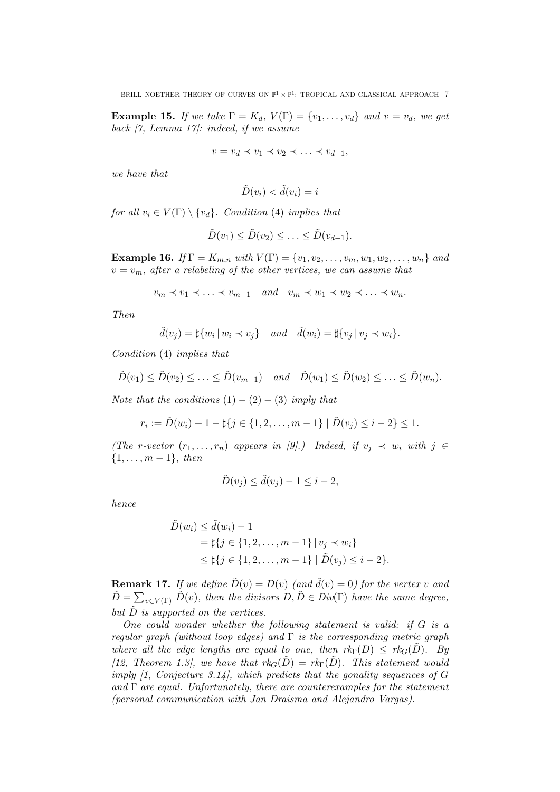**Example 15.** If we take  $\Gamma = K_d$ ,  $V(\Gamma) = \{v_1, \ldots, v_d\}$  and  $v = v_d$ , we get back [7, Lemma 17]: indeed, if we assume

$$
v = v_d \prec v_1 \prec v_2 \prec \ldots \prec v_{d-1},
$$

we have that

$$
\tilde{D}(v_i) < \tilde{d}(v_i) = i
$$

for all  $v_i \in V(\Gamma) \setminus \{v_d\}$ . Condition (4) implies that

$$
\tilde{D}(v_1) \leq \tilde{D}(v_2) \leq \ldots \leq \tilde{D}(v_{d-1}).
$$

**Example 16.** If  $\Gamma = K_{m,n}$  with  $V(\Gamma) = \{v_1, v_2, \dots, v_m, w_1, w_2, \dots, w_n\}$  and  $v = v_m$ , after a relabeling of the other vertices, we can assume that

$$
v_m \prec v_1 \prec \ldots \prec v_{m-1} \quad and \quad v_m \prec w_1 \prec w_2 \prec \ldots \prec w_n.
$$

Then

$$
\tilde{d}(v_j) = \sharp \{w_i \mid w_i \prec v_j\} \quad and \quad \tilde{d}(w_i) = \sharp \{v_j \mid v_j \prec w_i\}.
$$

Condition (4) implies that

$$
\tilde{D}(v_1) \leq \tilde{D}(v_2) \leq \ldots \leq \tilde{D}(v_{m-1})
$$
 and  $\tilde{D}(w_1) \leq \tilde{D}(w_2) \leq \ldots \leq \tilde{D}(w_n)$ .

Note that the conditions  $(1) - (2) - (3)$  imply that

$$
r_i := \tilde{D}(w_i) + 1 - \sharp \{ j \in \{ 1, 2, \dots, m - 1 \} \mid \tilde{D}(v_j) \leq i - 2 \} \leq 1.
$$

(The r-vector  $(r_1, \ldots, r_n)$  appears in [9].) Indeed, if  $v_j \prec w_i$  with  $j \in$  $\{1, \ldots, m-1\},\ then$ 

$$
\tilde{D}(v_j) \le \tilde{d}(v_j) - 1 \le i - 2,
$$

hence

$$
\tilde{D}(w_i) \le \tilde{d}(w_i) - 1
$$
\n
$$
= \sharp \{ j \in \{1, 2, \dots, m - 1\} \mid v_j \prec w_i \}
$$
\n
$$
\le \sharp \{ j \in \{1, 2, \dots, m - 1\} \mid \tilde{D}(v_j) \le i - 2 \}.
$$

**Remark 17.** If we define  $\tilde{D}(v) = D(v)$  (and  $\tilde{d}(v) = 0$ ) for the vertex v and  $\tilde{D} = \sum_{v \in V(\Gamma)} \tilde{D}(v)$ , then the divisors  $D, \tilde{D} \in Div(\Gamma)$  have the same degree, but  $\tilde{D}$  is supported on the vertices.

One could wonder whether the following statement is valid: if  $G$  is a regular graph (without loop edges) and  $\Gamma$  is the corresponding metric graph where all the edge lengths are equal to one, then  $rk_{\Gamma}(D) \leq rk_{G}(D)$ . By [12, Theorem 1.3], we have that  $rk_G(\tilde{D}) = rk_{\Gamma}(\tilde{D})$ . This statement would imply  $[1, Conjecture 3.14]$ , which predicts that the gonality sequences of  $G$ and  $\Gamma$  are equal. Unfortunately, there are counterexamples for the statement (personal communication with Jan Draisma and Alejandro Vargas).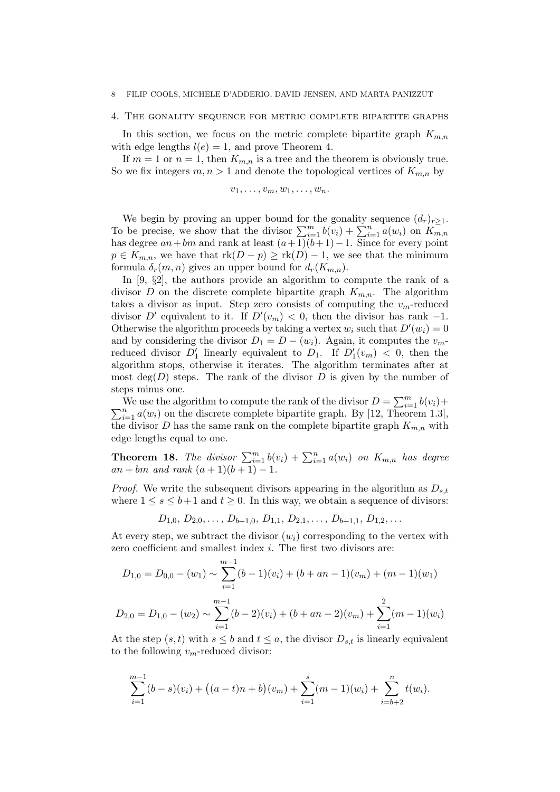### 4. The gonality sequence for metric complete bipartite graphs

In this section, we focus on the metric complete bipartite graph  $K_{m,n}$ with edge lengths  $l(e) = 1$ , and prove Theorem 4.

If  $m = 1$  or  $n = 1$ , then  $K_{m,n}$  is a tree and the theorem is obviously true. So we fix integers  $m, n > 1$  and denote the topological vertices of  $K_{m,n}$  by

 $v_1, \ldots, v_m, w_1, \ldots, w_n.$ 

We begin by proving an upper bound for the gonality sequence  $(d_r)_{r\geq 1}$ . To be precise, we show that the divisor  $\sum_{i=1}^{m} b(v_i) + \sum_{i=1}^{n} a(w_i)$  on  $K_{m,n}$ has degree  $an+bm$  and rank at least  $(a+1)(b+1)-1$ . Since for every point  $p \in K_{m,n}$ , we have that  $\text{rk}(D - p) \geq \text{rk}(D) - 1$ , we see that the minimum formula  $\delta_r(m,n)$  gives an upper bound for  $d_r(K_{m,n})$ .

In [9,  $\S2$ ], the authors provide an algorithm to compute the rank of a divisor D on the discrete complete bipartite graph  $K_{m,n}$ . The algorithm takes a divisor as input. Step zero consists of computing the  $v_m$ -reduced divisor D' equivalent to it. If  $D'(v_m) < 0$ , then the divisor has rank -1. Otherwise the algorithm proceeds by taking a vertex  $w_i$  such that  $D'(w_i) = 0$ and by considering the divisor  $D_1 = D - (w_i)$ . Again, it computes the  $v_m$ reduced divisor  $D'_1$  linearly equivalent to  $D_1$ . If  $D'_1(v_m) < 0$ , then the algorithm stops, otherwise it iterates. The algorithm terminates after at most  $deg(D)$  steps. The rank of the divisor D is given by the number of steps minus one.

We use the algorithm to compute the rank of the divisor  $D = \sum_{i=1}^{m} b(v_i) +$  $\sum_{i=1}^{n} a(w_i)$  on the discrete complete bipartite graph. By [12, Theorem 1.3], the divisor D has the same rank on the complete bipartite graph  $K_{m,n}$  with edge lengths equal to one.

**Theorem 18.** The divisor  $\sum_{i=1}^{m} b(v_i) + \sum_{i=1}^{n} a(w_i)$  on  $K_{m,n}$  has degree  $an + bm$  and rank  $(a + 1)(b + 1) - 1$ .

*Proof.* We write the subsequent divisors appearing in the algorithm as  $D_{s,t}$ where  $1 \leq s \leq b+1$  and  $t \geq 0$ . In this way, we obtain a sequence of divisors:

 $D_{1,0}, D_{2,0}, \ldots, D_{b+1,0}, D_{1,1}, D_{2,1}, \ldots, D_{b+1,1}, D_{1,2}, \ldots$ 

At every step, we subtract the divisor  $(w_i)$  corresponding to the vertex with zero coefficient and smallest index i. The first two divisors are:

$$
D_{1,0} = D_{0,0} - (w_1) \sim \sum_{i=1}^{m-1} (b-1)(v_i) + (b+an-1)(v_m) + (m-1)(w_1)
$$
  

$$
m-1
$$

$$
D_{2,0} = D_{1,0} - (w_2) \sim \sum_{i=1}^{m-1} (b-2)(v_i) + (b+an-2)(v_m) + \sum_{i=1}^{2} (m-1)(w_i)
$$

At the step  $(s, t)$  with  $s \leq b$  and  $t \leq a$ , the divisor  $D_{s,t}$  is linearly equivalent to the following  $v_m$ -reduced divisor:

$$
\sum_{i=1}^{m-1} (b-s)(v_i) + ((a-t)n + b)(v_m) + \sum_{i=1}^{s} (m-1)(w_i) + \sum_{i=b+2}^{n} t(w_i).
$$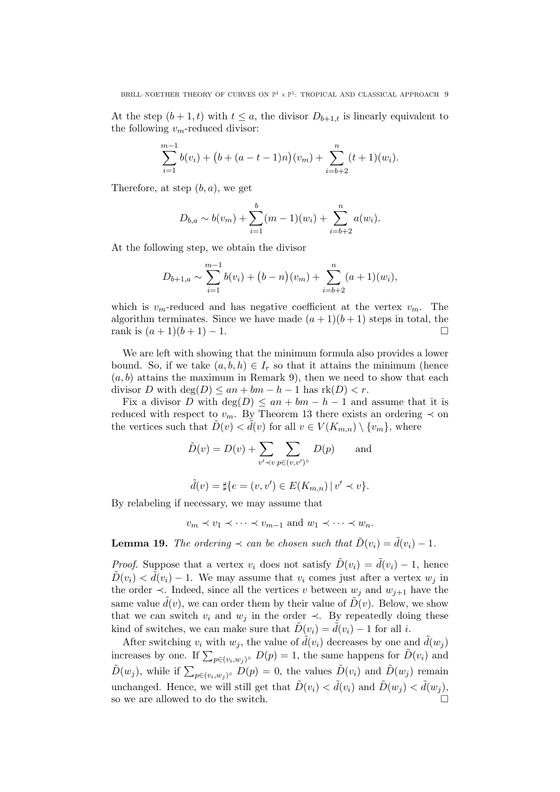At the step  $(b+1,t)$  with  $t \leq a$ , the divisor  $D_{b+1,t}$  is linearly equivalent to the following  $v_m$ -reduced divisor:

$$
\sum_{i=1}^{m-1} b(v_i) + (b + (a - t - 1)n)(v_m) + \sum_{i=b+2}^{n} (t + 1)(w_i).
$$

Therefore, at step  $(b, a)$ , we get

$$
D_{b,a} \sim b(v_m) + \sum_{i=1}^{b} (m-1)(w_i) + \sum_{i=b+2}^{n} a(w_i).
$$

At the following step, we obtain the divisor

$$
D_{b+1,a} \sim \sum_{i=1}^{m-1} b(v_i) + (b-n)(v_m) + \sum_{i=b+2}^{n} (a+1)(w_i),
$$

which is  $v_m$ -reduced and has negative coefficient at the vertex  $v_m$ . The algorithm terminates. Since we have made  $(a+1)(b+1)$  steps in total, the rank is  $(a+1)(b+1) - 1$ .

We are left with showing that the minimum formula also provides a lower bound. So, if we take  $(a, b, h) \in I_r$  so that it attains the minimum (hence  $(a, b)$  attains the maximum in Remark 9), then we need to show that each divisor D with  $\deg(D) \leq an + bm - h - 1$  has  $rk(D) < r$ .

Fix a divisor D with  $deg(D) \leq an + bm - h - 1$  and assume that it is reduced with respect to  $v_m$ . By Theorem 13 there exists an ordering  $\prec$  on the vertices such that  $D(v) < d(v)$  for all  $v \in V(K_{m,n}) \setminus \{v_m\}$ , where

$$
\tilde{D}(v) = D(v) + \sum_{v' \prec v} \sum_{p \in (v, v')^{\circ}} D(p) \quad \text{and} \quad
$$

$$
\tilde{d}(v) = \sharp \{ e = (v, v') \in E(K_{m,n}) \mid v' \prec v \}.
$$

By relabeling if necessary, we may assume that

$$
v_m \prec v_1 \prec \cdots \prec v_{m-1}
$$
 and  $w_1 \prec \cdots \prec w_n$ .

**Lemma 19.** The ordering  $\prec$  can be chosen such that  $\hat{D}(v_i) = \hat{d}(v_i) - 1$ .

*Proof.* Suppose that a vertex  $v_i$  does not satisfy  $\tilde{D}(v_i) = \tilde{d}(v_i) - 1$ , hence  $D(v_i) < d(v_i) - 1$ . We may assume that  $v_i$  comes just after a vertex  $w_i$  in the order  $\prec$ . Indeed, since all the vertices v between  $w_j$  and  $w_{j+1}$  have the same value  $\tilde{d}(v)$ , we can order them by their value of  $\tilde{D}(v)$ . Below, we show that we can switch  $v_i$  and  $w_j$  in the order  $\prec$ . By repeatedly doing these kind of switches, we can make sure that  $D(v_i) = d(v_i) - 1$  for all i.

After switching  $v_i$  with  $w_j$ , the value of  $\tilde{d}(v_i)$  decreases by one and  $\tilde{d}(w_j)$ increases by one. If  $\sum_{p \in (v_i, w_j)^{\circ}} D(p) = 1$ , the same happens for  $\tilde{D}(v_i)$  and  $\tilde{D}(w_j)$ , while if  $\sum_{p \in (v_i, w_j)^\circ} D(p) = 0$ , the values  $\tilde{D}(v_i)$  and  $\tilde{D}(w_j)$  remain unchanged. Hence, we will still get that  $\tilde{D}(v_i) < d(v_i)$  and  $\tilde{D}(w_j) < d(w_j)$ , so we are allowed to do the switch.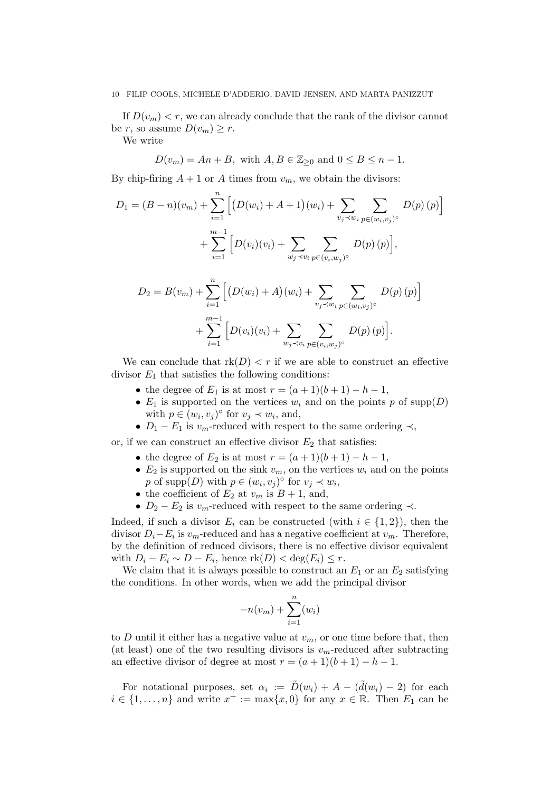If  $D(v_m) < r$ , we can already conclude that the rank of the divisor cannot be r, so assume  $D(v_m) \geq r$ .

We write

 $D(v_m) = An + B$ , with  $A, B \in \mathbb{Z}_{\geq 0}$  and  $0 \leq B \leq n - 1$ .

By chip-firing  $A + 1$  or A times from  $v_m$ , we obtain the divisors:

$$
D_1 = (B - n)(v_m) + \sum_{i=1}^n \Big[ \big(D(w_i) + A + 1\big)(w_i) + \sum_{v_j \prec w_i} \sum_{p \in (w_i, v_j)^{\circ}} D(p) (p) \Big] + \sum_{i=1}^{m-1} \Big[ D(v_i)(v_i) + \sum_{w_j \prec v_i} \sum_{p \in (v_i, w_j)^{\circ}} D(p) (p) \Big],
$$
  

$$
D_2 = B(v_m) + \sum_{i=1}^n \Big[ \big(D(w_i) + A\big)(w_i) + \sum_{v_j \prec w_i} \sum_{p \in (w_i, v_j)^{\circ}} D(p) (p) \Big] + \sum_{i=1}^{m-1} \Big[ D(v_i)(v_i) + \sum_{w_j \prec v_i} \sum_{p \in (v_i, w_j)^{\circ}} D(p) (p) \Big].
$$

We can conclude that  $rk(D) < r$  if we are able to construct an effective divisor  $E_1$  that satisfies the following conditions:

- the degree of  $E_1$  is at most  $r = (a+1)(b+1) b 1$ ,
- $E_1$  is supported on the vertices  $w_i$  and on the points p of supp $(D)$ with  $p \in (w_i, v_j)^\circ$  for  $v_j \prec w_i$ , and,
- $D_1 E_1$  is  $v_m$ -reduced with respect to the same ordering  $\prec$ ,

or, if we can construct an effective divisor  $E_2$  that satisfies:

- the degree of  $E_2$  is at most  $r = (a+1)(b+1) b 1$ ,
- $E_2$  is supported on the sink  $v_m$ , on the vertices  $w_i$  and on the points p of supp $(D)$  with  $p \in (w_i, v_j)^\circ$  for  $v_j \prec w_i$ ,
- the coefficient of  $E_2$  at  $v_m$  is  $B + 1$ , and,
- $D_2 E_2$  is  $v_m$ -reduced with respect to the same ordering  $\prec$ .

Indeed, if such a divisor  $E_i$  can be constructed (with  $i \in \{1,2\}$ ), then the divisor  $D_i - E_i$  is  $v_m$ -reduced and has a negative coefficient at  $v_m$ . Therefore, by the definition of reduced divisors, there is no effective divisor equivalent with  $D_i - E_i \sim D - E_i$ , hence  $\text{rk}(D) < \text{deg}(E_i) \leq r$ .

We claim that it is always possible to construct an  $E_1$  or an  $E_2$  satisfying the conditions. In other words, when we add the principal divisor

$$
-n(v_m) + \sum_{i=1}^{n} (w_i)
$$

to D until it either has a negative value at  $v_m$ , or one time before that, then (at least) one of the two resulting divisors is  $v_m$ -reduced after subtracting an effective divisor of degree at most  $r = (a+1)(b+1) - b - 1$ .

For notational purposes, set  $\alpha_i := \tilde{D}(w_i) + A - (\tilde{d}(w_i) - 2)$  for each  $i \in \{1, \ldots, n\}$  and write  $x^+ := \max\{x, 0\}$  for any  $x \in \mathbb{R}$ . Then  $E_1$  can be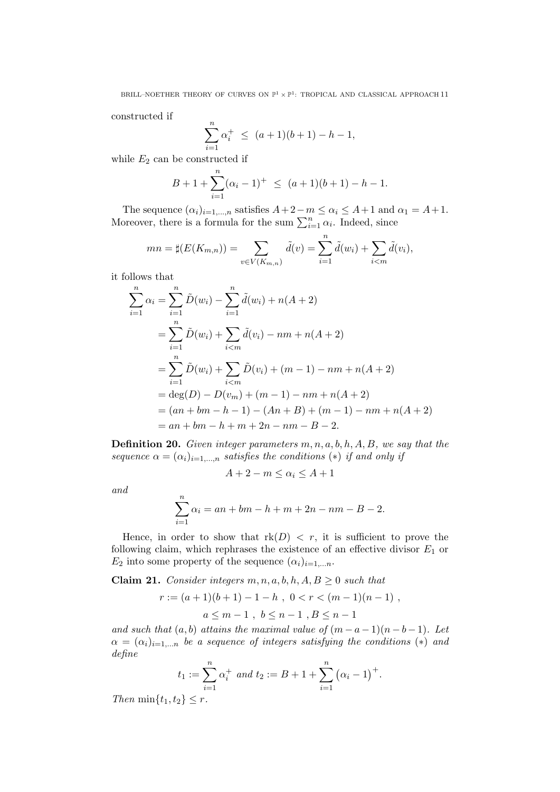constructed if

$$
\sum_{i=1}^{n} \alpha_i^+ \le (a+1)(b+1) - b - 1,
$$

while  $E_2$  can be constructed if

$$
B + 1 + \sum_{i=1}^{n} (\alpha_i - 1)^{+} \leq (a+1)(b+1) - b - 1.
$$

The sequence  $(\alpha_i)_{i=1,\dots,n}$  satisfies  $A+2-m \leq \alpha_i \leq A+1$  and  $\alpha_1 = A+1$ . Moreover, there is a formula for the sum  $\sum_{i=1}^{n} \alpha_i$ . Indeed, since

$$
mn = \sharp(E(K_{m,n})) = \sum_{v \in V(K_{m,n})} \tilde{d}(v) = \sum_{i=1}^{n} \tilde{d}(w_i) + \sum_{i < m} \tilde{d}(v_i),
$$

it follows that

$$
\sum_{i=1}^{n} \alpha_i = \sum_{i=1}^{n} \tilde{D}(w_i) - \sum_{i=1}^{n} \tilde{d}(w_i) + n(A+2)
$$
  
= 
$$
\sum_{i=1}^{n} \tilde{D}(w_i) + \sum_{i  
= 
$$
\sum_{i=1}^{n} \tilde{D}(w_i) + \sum_{i  
= 
$$
\deg(D) - D(v_m) + (m-1) - nm + n(A+2)
$$
  
= 
$$
(an + bm - h - 1) - (An + B) + (m - 1) - nm + n(A+2)
$$
  
= 
$$
an + bm - h + m + 2n - nm - B - 2.
$$
$$
$$

**Definition 20.** Given integer parameters  $m, n, a, b, h, A, B$ , we say that the sequence  $\alpha = (\alpha_i)_{i=1,\dots,n}$  satisfies the conditions (\*) if and only if

$$
A + 2 - m \le \alpha_i \le A + 1
$$

and

$$
\sum_{i=1}^{n} \alpha_i = an + bm - h + m + 2n - nm - B - 2.
$$

Hence, in order to show that  $rk(D) < r$ , it is sufficient to prove the following claim, which rephrases the existence of an effective divisor  $E_1$  or  $E_2$  into some property of the sequence  $(\alpha_i)_{i=1,\dots,n}$ .

Claim 21. Consider integers  $m, n, a, b, h, A, B \geq 0$  such that

$$
r := (a+1)(b+1) - 1 - h , 0 < r < (m-1)(n-1) ,
$$
  

$$
a \le m-1 , b \le n-1 , B \le n-1
$$

and such that  $(a, b)$  attains the maximal value of  $(m - a - 1)(n - b - 1)$ . Let  $\alpha = (\alpha_i)_{i=1,...n}$  be a sequence of integers satisfying the conditions (\*) and define

$$
t_1 := \sum_{i=1}^n \alpha_i^+
$$
 and  $t_2 := B + 1 + \sum_{i=1}^n (\alpha_i - 1)^+$ .

Then  $\min\{t_1, t_2\} \leq r$ .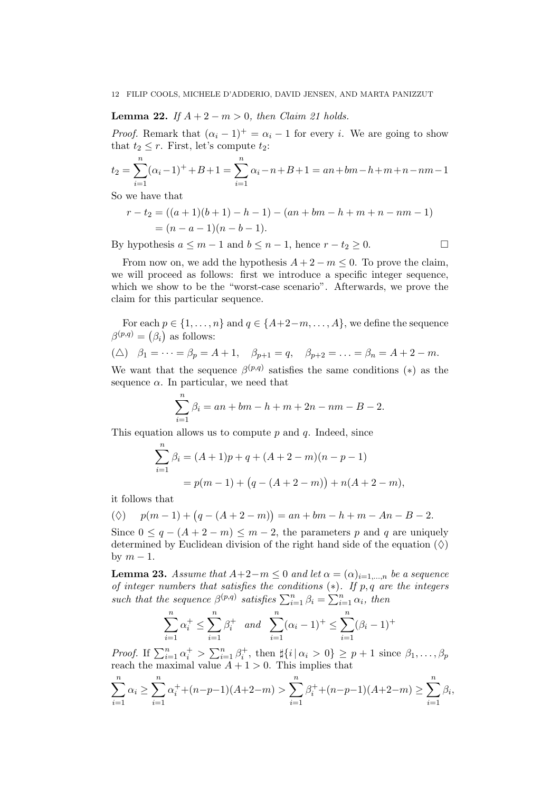**Lemma 22.** If  $A + 2 - m > 0$ , then Claim 21 holds.

*Proof.* Remark that  $(\alpha_i - 1)^+ = \alpha_i - 1$  for every i. We are going to show that  $t_2 \leq r$ . First, let's compute  $t_2$ :

$$
t_2 = \sum_{i=1}^{n} (\alpha_i - 1)^+ + B + 1 = \sum_{i=1}^{n} \alpha_i - n + B + 1 = an + bm - h + m + n - nm - 1
$$
  
So we have that

So we have that

$$
r-t_2 = ((a+1)(b+1) - b - 1) - (an + bm - h + m + n - nm - 1)
$$
  
=  $(n-a-1)(n-b-1).$ 

By hypothesis  $a \leq m-1$  and  $b \leq n-1$ , hence  $r-t_2 \geq 0$ .

From now on, we add the hypothesis  $A + 2 - m \leq 0$ . To prove the claim, we will proceed as follows: first we introduce a specific integer sequence, which we show to be the "worst-case scenario". Afterwards, we prove the claim for this particular sequence.

For each  $p \in \{1, \ldots, n\}$  and  $q \in \{A+2-m, \ldots, A\}$ , we define the sequence  $\beta^{(p,q)} = (\beta_i)$  as follows:

$$
(\triangle) \quad \beta_1 = \dots = \beta_p = A + 1, \quad \beta_{p+1} = q, \quad \beta_{p+2} = \dots = \beta_n = A + 2 - m.
$$

We want that the sequence  $\beta^{(p,q)}$  satisfies the same conditions (\*) as the sequence  $\alpha$ . In particular, we need that

$$
\sum_{i=1}^{n} \beta_i = an + bm - h + m + 2n - nm - B - 2.
$$

This equation allows us to compute  $p$  and  $q$ . Indeed, since

$$
\sum_{i=1}^{n} \beta_i = (A+1)p + q + (A+2-m)(n-p-1)
$$
  
=  $p(m-1) + (q - (A+2-m)) + n(A+2-m),$ 

it follows that

$$
(\Diamond) \quad p(m-1) + (q - (A + 2 - m)) = an + bm - h + m - An - B - 2.
$$

Since  $0 \leq q - (A + 2 - m) \leq m - 2$ , the parameters p and q are uniquely determined by Euclidean division of the right hand side of the equation  $(\Diamond)$ by  $m-1$ .

**Lemma 23.** Assume that  $A+2-m \leq 0$  and let  $\alpha = (\alpha)_{i=1,...,n}$  be a sequence of integer numbers that satisfies the conditions  $(*)$ . If p, q are the integers such that the sequence  $\beta^{(p,q)}$  satisfies  $\sum_{i=1}^{n} \beta_i = \sum_{i=1}^{n} \alpha_i$ , then

$$
\sum_{i=1}^{n} \alpha_i^+ \le \sum_{i=1}^{n} \beta_i^+ \quad and \quad \sum_{i=1}^{n} (\alpha_i - 1)^+ \le \sum_{i=1}^{n} (\beta_i - 1)^+
$$

*Proof.* If  $\sum_{i=1}^{n} \alpha_i^+ > \sum_{i=1}^{n} \beta_i^+$ , then  $\sharp\{i | \alpha_i > 0\} \geq p+1$  since  $\beta_1, \ldots, \beta_p$ reach the maximal value  $A + 1 > 0$ . This implies that

$$
\sum_{i=1}^{n} \alpha_i \ge \sum_{i=1}^{n} \alpha_i^+ + (n-p-1)(A+2-m) > \sum_{i=1}^{n} \beta_i^+ + (n-p-1)(A+2-m) \ge \sum_{i=1}^{n} \beta_i,
$$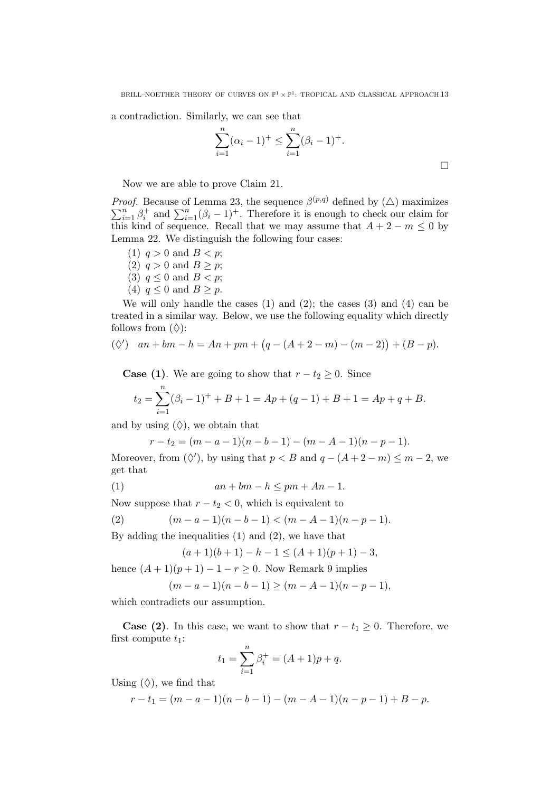a contradiction. Similarly, we can see that

$$
\sum_{i=1}^{n} (\alpha_i - 1)^+ \le \sum_{i=1}^{n} (\beta_i - 1)^+.
$$

 $\Box$ 

Now we are able to prove Claim 21.

*Proof.* Because of Lemma 23, the sequence  $\beta^{(p,q)}$  defined by  $(\triangle)$  maximizes  $\sum_{i=1}^{n} \beta_i^+$  and  $\sum_{i=1}^{n} (\beta_i - 1)^+$ . Therefore it is enough to check our claim for this kind of sequence. Recall that we may assume that  $A + 2 - m \leq 0$  by Lemma 22. We distinguish the following four cases:

- (1)  $q > 0$  and  $B < p$ ;
- (2)  $q > 0$  and  $B > p$ ;
- (3)  $q \leq 0$  and  $B < p$ ;
- (4)  $q \leq 0$  and  $B \geq p$ .

We will only handle the cases  $(1)$  and  $(2)$ ; the cases  $(3)$  and  $(4)$  can be treated in a similar way. Below, we use the following equality which directly follows from  $(\Diamond)$ :

$$
(\Diamond') \quad an + bm - h = An + pm + (q - (A + 2 - m) - (m - 2)) + (B - p).
$$

**Case (1)**. We are going to show that  $r - t_2 \geq 0$ . Since

$$
t_2 = \sum_{i=1}^{n} (\beta_i - 1)^+ + B + 1 = Ap + (q - 1) + B + 1 = Ap + q + B.
$$

and by using  $(\Diamond)$ , we obtain that

$$
r-t_2 = (m-a-1)(n-b-1) - (m-A-1)(n-p-1).
$$

Moreover, from  $(\Diamond')$ , by using that  $p < B$  and  $q - (A + 2 - m) \le m - 2$ , we get that

$$
(1) \t\t\t\tan + bm - h \le pm + An - 1.
$$

Now suppose that  $r - t_2 < 0$ , which is equivalent to

(2) 
$$
(m-a-1)(n-b-1) < (m-A-1)(n-p-1).
$$

By adding the inequalities (1) and (2), we have that

$$
(a+1)(b+1) - h - 1 \le (A+1)(p+1) - 3,
$$

hence  $(A + 1)(p + 1) - 1 - r \ge 0$ . Now Remark 9 implies

$$
(m-a-1)(n-b-1) \ge (m-A-1)(n-p-1),
$$

which contradicts our assumption.

**Case (2).** In this case, we want to show that  $r - t_1 \geq 0$ . Therefore, we first compute  $t_1$ :

$$
t_1 = \sum_{i=1}^{n} \beta_i^+ = (A+1)p + q.
$$

Using  $(\Diamond)$ , we find that

$$
r-t_1 = (m-a-1)(n-b-1) - (m-A-1)(n-p-1) + B - p.
$$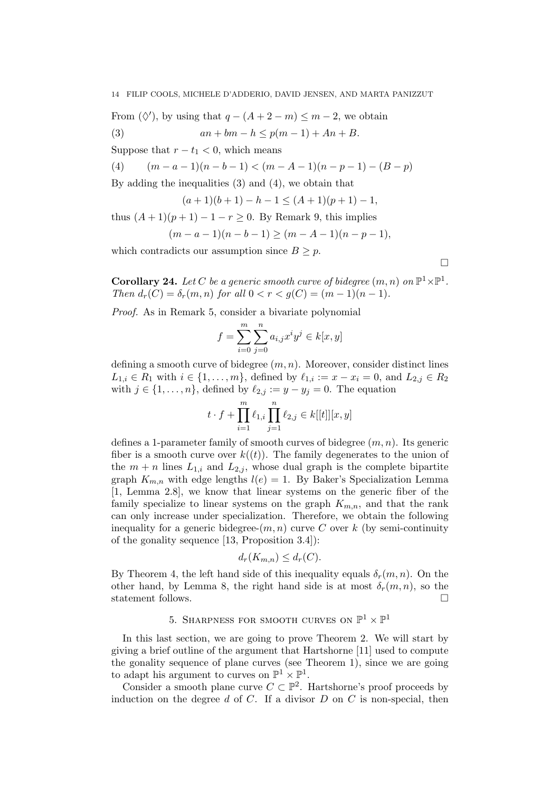From  $(\Diamond')$ , by using that  $q - (A + 2 - m) \le m - 2$ , we obtain

(3)  $an + bm - h \leq p(m-1) + An + B.$ 

Suppose that  $r - t_1 < 0$ , which means

(4)  $(m - a - 1)(n - b - 1) < (m - A - 1)(n - p - 1) - (B - p)$ 

By adding the inequalities (3) and (4), we obtain that

$$
(a+1)(b+1) - h - 1 \le (A+1)(p+1) - 1,
$$

thus  $(A + 1)(p + 1) - 1 - r \ge 0$ . By Remark 9, this implies

$$
(m-a-1)(n-b-1) \ge (m-A-1)(n-p-1),
$$

which contradicts our assumption since  $B \geq p$ .

 $\Box$ 

**Corollary 24.** Let C be a generic smooth curve of bidegree  $(m, n)$  on  $\mathbb{P}^1 \times \mathbb{P}^1$ . Then  $d_r(C) = \delta_r(m, n)$  for all  $0 < r < g(C) = (m - 1)(n - 1)$ .

Proof. As in Remark 5, consider a bivariate polynomial

$$
f = \sum_{i=0}^{m} \sum_{j=0}^{n} a_{i,j} x^{i} y^{j} \in k[x, y]
$$

defining a smooth curve of bidegree  $(m, n)$ . Moreover, consider distinct lines  $L_{1,i} \in R_1$  with  $i \in \{1, ..., m\}$ , defined by  $\ell_{1,i} := x - x_i = 0$ , and  $L_{2,i} \in R_2$ with  $j \in \{1, \ldots, n\}$ , defined by  $\ell_{2,j} := y - y_j = 0$ . The equation

$$
t \cdot f + \prod_{i=1}^m \ell_{1,i} \prod_{j=1}^n \ell_{2,j} \in k[[t]][x,y]
$$

defines a 1-parameter family of smooth curves of bidegree  $(m, n)$ . Its generic fiber is a smooth curve over  $k((t))$ . The family degenerates to the union of the  $m + n$  lines  $L_{1,i}$  and  $L_{2,i}$ , whose dual graph is the complete bipartite graph  $K_{m,n}$  with edge lengths  $l(e) = 1$ . By Baker's Specialization Lemma [1, Lemma 2.8], we know that linear systems on the generic fiber of the family specialize to linear systems on the graph  $K_{m,n}$ , and that the rank can only increase under specialization. Therefore, we obtain the following inequality for a generic bidegree- $(m, n)$  curve C over k (by semi-continuity of the gonality sequence [13, Proposition 3.4]):

$$
d_r(K_{m,n}) \leq d_r(C).
$$

By Theorem 4, the left hand side of this inequality equals  $\delta_r(m, n)$ . On the other hand, by Lemma 8, the right hand side is at most  $\delta_r(m,n)$ , so the statement follows.  $\hfill \square$ 

# 5. SHARPNESS FOR SMOOTH CURVES ON  $\mathbb{P}^1 \times \mathbb{P}^1$

In this last section, we are going to prove Theorem 2. We will start by giving a brief outline of the argument that Hartshorne [11] used to compute the gonality sequence of plane curves (see Theorem 1), since we are going to adapt his argument to curves on  $\mathbb{P}^1 \times \mathbb{P}^1$ .

Consider a smooth plane curve  $C \subset \mathbb{P}^2$ . Hartshorne's proof proceeds by induction on the degree d of C. If a divisor  $D$  on  $C$  is non-special, then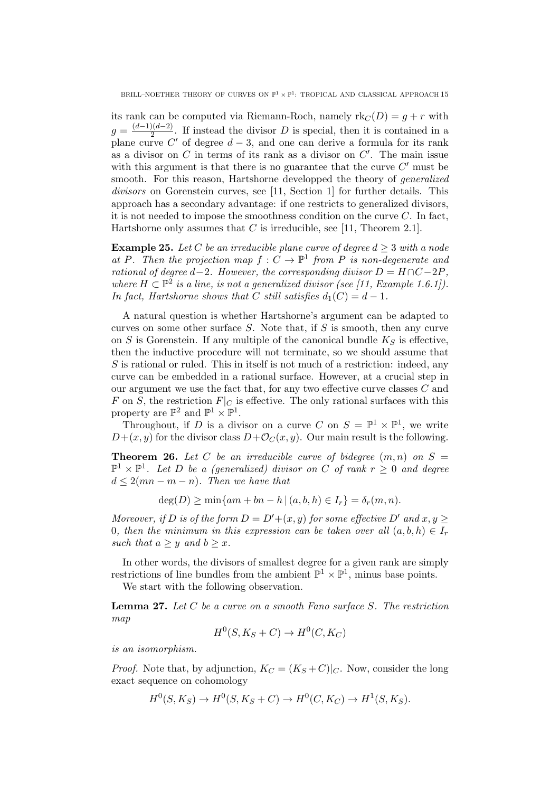its rank can be computed via Riemann-Roch, namely  $rk_C(D) = g + r$  with  $g = \frac{(d-1)(d-2)}{2}$  $\frac{2(1a-2)}{2}$ . If instead the divisor D is special, then it is contained in a plane curve C' of degree  $d-3$ , and one can derive a formula for its rank as a divisor on  $C$  in terms of its rank as a divisor on  $C'$ . The main issue with this argument is that there is no guarantee that the curve  $C'$  must be smooth. For this reason, Hartshorne developped the theory of generalized divisors on Gorenstein curves, see [11, Section 1] for further details. This approach has a secondary advantage: if one restricts to generalized divisors, it is not needed to impose the smoothness condition on the curve  $C$ . In fact, Hartshorne only assumes that  $C$  is irreducible, see [11, Theorem 2.1].

**Example 25.** Let C be an irreducible plane curve of degree  $d \geq 3$  with a node at P. Then the projection map  $f: C \to \mathbb{P}^1$  from P is non-degenerate and rational of degree d−2. However, the corresponding divisor  $D = H \cap C - 2P$ , where  $H \subset \mathbb{P}^2$  is a line, is not a generalized divisor (see [11, Example 1.6.1]). In fact, Hartshorne shows that C still satisfies  $d_1(C) = d - 1$ .

A natural question is whether Hartshorne's argument can be adapted to curves on some other surface  $S$ . Note that, if  $S$  is smooth, then any curve on S is Gorenstein. If any multiple of the canonical bundle  $K_S$  is effective, then the inductive procedure will not terminate, so we should assume that S is rational or ruled. This in itself is not much of a restriction: indeed, any curve can be embedded in a rational surface. However, at a crucial step in our argument we use the fact that, for any two effective curve classes C and F on S, the restriction  $F|_C$  is effective. The only rational surfaces with this property are  $\mathbb{P}^2$  and  $\mathbb{P}^1 \times \mathbb{P}^1$ .

Throughout, if D is a divisor on a curve C on  $S = \mathbb{P}^1 \times \mathbb{P}^1$ , we write  $D+(x, y)$  for the divisor class  $D+\mathcal{O}_C(x, y)$ . Our main result is the following.

**Theorem 26.** Let C be an irreducible curve of bidegree  $(m, n)$  on  $S =$  $\mathbb{P}^1 \times \mathbb{P}^1$ . Let D be a (generalized) divisor on C of rank  $r \geq 0$  and degree  $d \leq 2(mn-m-n)$ . Then we have that

$$
\deg(D) \ge \min\{am + bn - h \mid (a, b, h) \in I_r\} = \delta_r(m, n).
$$

Moreover, if D is of the form  $D = D' + (x, y)$  for some effective D' and  $x, y \geq 0$ 0, then the minimum in this expression can be taken over all  $(a, b, h) \in I_r$ such that  $a \geq y$  and  $b \geq x$ .

In other words, the divisors of smallest degree for a given rank are simply restrictions of line bundles from the ambient  $\mathbb{P}^1 \times \mathbb{P}^1$ , minus base points.

We start with the following observation.

**Lemma 27.** Let  $C$  be a curve on a smooth Fano surface  $S$ . The restriction map

$$
H^0(S, K_S + C) \to H^0(C, K_C)
$$

is an isomorphism.

*Proof.* Note that, by adjunction,  $K_C = (K_S + C)|_C$ . Now, consider the long exact sequence on cohomology

$$
H^0(S, K_S) \to H^0(S, K_S + C) \to H^0(C, K_C) \to H^1(S, K_S).
$$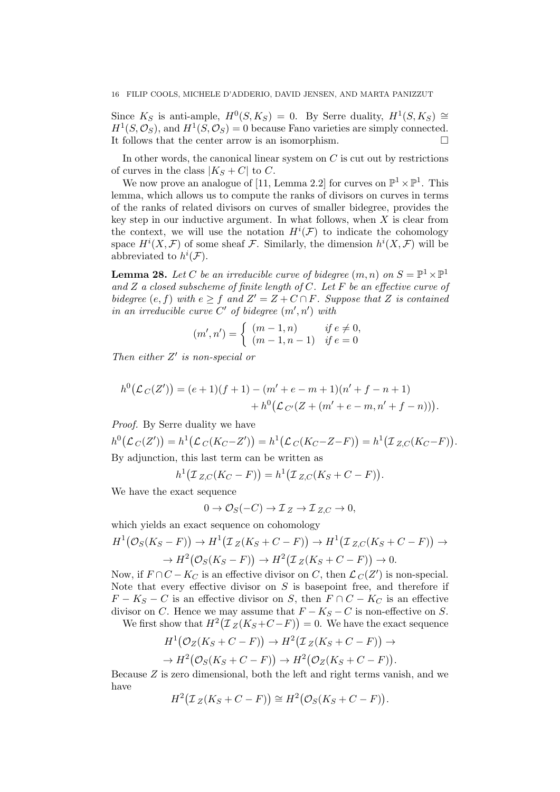Since  $K_S$  is anti-ample,  $H^0(S, K_S) = 0$ . By Serre duality,  $H^1(S, K_S) \cong$  $H^1(S, \mathcal{O}_S)$ , and  $H^1(S, \mathcal{O}_S) = 0$  because Fano varieties are simply connected. It follows that the center arrow is an isomorphism.

In other words, the canonical linear system on  $C$  is cut out by restrictions of curves in the class  $|K_S+C|$  to C.

We now prove an analogue of [11, Lemma 2.2] for curves on  $\mathbb{P}^1 \times \mathbb{P}^1$ . This lemma, which allows us to compute the ranks of divisors on curves in terms of the ranks of related divisors on curves of smaller bidegree, provides the key step in our inductive argument. In what follows, when  $X$  is clear from the context, we will use the notation  $H^{i}(\mathcal{F})$  to indicate the cohomology space  $H^i(X, \mathcal{F})$  of some sheaf  $\mathcal{F}$ . Similarly, the dimension  $h^i(X, \mathcal{F})$  will be abbreviated to  $h^i(\mathcal{F})$ .

**Lemma 28.** Let C be an irreducible curve of bidegree  $(m, n)$  on  $S = \mathbb{P}^1 \times \mathbb{P}^1$ and  $Z$  a closed subscheme of finite length of  $C$ . Let  $F$  be an effective curve of bidegree  $(e, f)$  with  $e \geq f$  and  $Z' = Z + C \cap F$ . Suppose that Z is contained in an irreducible curve  $C'$  of bidegree  $(m', n')$  with

$$
(m', n') = \begin{cases} (m-1, n) & \text{if } e \neq 0, \\ (m-1, n-1) & \text{if } e = 0 \end{cases}
$$

Then either  $Z'$  is non-special or

$$
h^{0}(\mathcal{L}_{C}(Z')) = (e+1)(f+1) - (m' + e - m + 1)(n' + f - n + 1) + h^{0}(\mathcal{L}_{C'}(Z + (m' + e - m, n' + f - n))).
$$

Proof. By Serre duality we have

 $h^0(\mathcal{L}_C(Z')) = h^1(\mathcal{L}_C(K_C-Z')) = h^1(\mathcal{L}_C(K_C-Z-F)) = h^1(\mathcal{I}_{Z,C}(K_C-F)).$ By adjunction, this last term can be written as

$$
h^{1}(\mathcal{I}_{Z,C}(K_C - F)) = h^{1}(\mathcal{I}_{Z,C}(K_S + C - F)).
$$

We have the exact sequence

$$
0 \to \mathcal{O}_S(-C) \to \mathcal{I}_Z \to \mathcal{I}_{Z,C} \to 0,
$$

which yields an exact sequence on cohomology

$$
H^1(\mathcal{O}_S(K_S - F)) \to H^1(\mathcal{I}_Z(K_S + C - F)) \to H^1(\mathcal{I}_{Z,C}(K_S + C - F)) \to H^2(\mathcal{O}_S(K_S - F)) \to H^2(\mathcal{I}_Z(K_S + C - F)) \to 0.
$$

Now, if  $F \cap C - K_C$  is an effective divisor on C, then  $\mathcal{L}_C(Z')$  is non-special. Note that every effective divisor on  $S$  is basepoint free, and therefore if  $F - K_S - C$  is an effective divisor on S, then  $F \cap C - K_C$  is an effective divisor on C. Hence we may assume that  $F - K_S - C$  is non-effective on S.

We first show that  $H^2(\mathcal{I}_Z(K_S+C-F))=0$ . We have the exact sequence

$$
H^1(\mathcal{O}_Z(K_S+C-F)) \to H^2(\mathcal{I}_Z(K_S+C-F)) \to
$$
  

$$
\to H^2(\mathcal{O}_S(K_S+C-F)) \to H^2(\mathcal{O}_Z(K_S+C-F)).
$$

Because Z is zero dimensional, both the left and right terms vanish, and we have

$$
H^2(\mathcal{I}_Z(K_S+C-F)) \cong H^2(\mathcal{O}_S(K_S+C-F)).
$$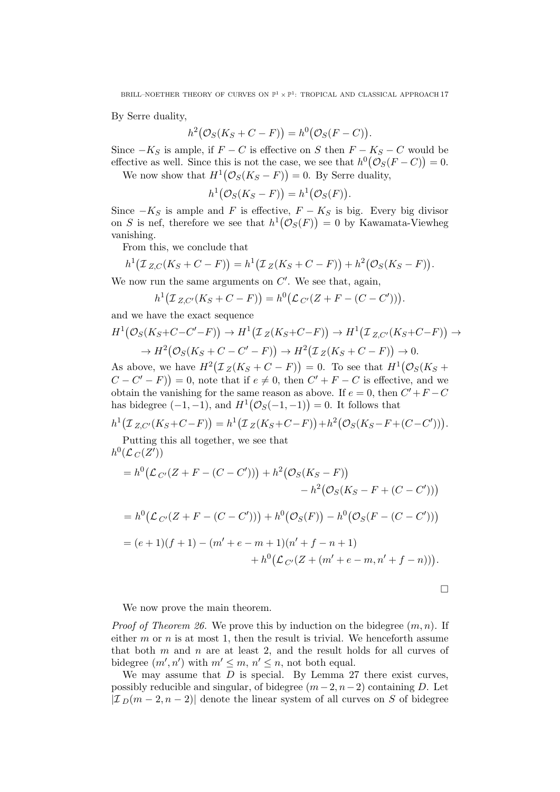By Serre duality,

$$
h^{2}(\mathcal{O}_{S}(K_{S}+C-F))=h^{0}(\mathcal{O}_{S}(F-C)).
$$

Since  $-K<sub>S</sub>$  is ample, if  $F - C$  is effective on S then  $F - K<sub>S</sub> - C$  would be effective as well. Since this is not the case, we see that  $h^0(\mathcal{O}_S(F-C))=0$ .

We now show that  $H^1(\mathcal{O}_S(K_S - F)) = 0$ . By Serre duality,

$$
h^1(\mathcal{O}_S(K_S-F))=h^1(\mathcal{O}_S(F)).
$$

Since  $-K<sub>S</sub>$  is ample and F is effective,  $F - K<sub>S</sub>$  is big. Every big divisor on S is nef, therefore we see that  $h^1(\mathcal{O}_S(F)) = 0$  by Kawamata-Viewheg vanishing.

From this, we conclude that

$$
h^{1}(\mathcal{I}_{Z,C}(K_{S}+C-F))=h^{1}(\mathcal{I}_{Z}(K_{S}+C-F))+h^{2}(\mathcal{O}_{S}(K_{S}-F)).
$$

We now run the same arguments on  $C'$ . We see that, again,

$$
h^{1}(\mathcal{I}_{Z,C'}(K_{S}+C-F))=h^{0}(\mathcal{L}_{C'}(Z+F-(C-C'))).
$$

and we have the exact sequence

$$
H^1(\mathcal{O}_S(K_S+C-C'-F)) \to H^1(\mathcal{I}_Z(K_S+C-F)) \to H^1(\mathcal{I}_{Z,C'}(K_S+C-F)) \to H^2(\mathcal{O}_S(K_S+C-C'-F)) \to H^2(\mathcal{I}_Z(K_S+C-F)) \to 0.
$$

As above, we have  $H^2(\mathcal{I}_Z(K_S+C-F))=0$ . To see that  $H^1(\mathcal{O}_S(K_S+F))$  $(C - C' - F)$  = 0, note that if  $e \neq 0$ , then  $C' + F - C$  is effective, and we obtain the vanishing for the same reason as above. If  $e = 0$ , then  $C' + F - C$ has bidegree  $(-1, -1)$ , and  $H^1(\mathcal{O}_S(-1, -1)) = 0$ . It follows that

$$
h^{1}(I_{Z,C'}(K_{S}+C-F)) = h^{1}(I_{Z}(K_{S}+C-F)) + h^{2}(O_{S}(K_{S}-F+(C-C'))).
$$

Putting this all together, we see that  $h^0(\mathcal{L}_C(Z'))$ 

$$
= h^{0}(\mathcal{L}_{C'}(Z + F - (C - C'))) + h^{2}(\mathcal{O}_{S}(K_{S} - F))
$$
  
\n
$$
- h^{2}(\mathcal{O}_{S}(K_{S} - F + (C - C')))
$$
  
\n
$$
= h^{0}(\mathcal{L}_{C'}(Z + F - (C - C'))) + h^{0}(\mathcal{O}_{S}(F)) - h^{0}(\mathcal{O}_{S}(F - (C - C')))
$$
  
\n
$$
= (e + 1)(f + 1) - (m' + e - m + 1)(n' + f - n + 1)
$$
  
\n
$$
+ h^{0}(\mathcal{L}_{C'}(Z + (m' + e - m, n' + f - n))).
$$

 $\Box$ 

We now prove the main theorem.

*Proof of Theorem 26.* We prove this by induction on the bidegree  $(m, n)$ . If either  $m$  or  $n$  is at most 1, then the result is trivial. We henceforth assume that both  $m$  and  $n$  are at least 2, and the result holds for all curves of bidegree  $(m', n')$  with  $m' \leq m$ ,  $n' \leq n$ , not both equal.

We may assume that  $D$  is special. By Lemma 27 there exist curves, possibly reducible and singular, of bidegree  $(m-2, n-2)$  containing D. Let  $|\mathcal{I}_D(m-2,n-2)|$  denote the linear system of all curves on S of bidegree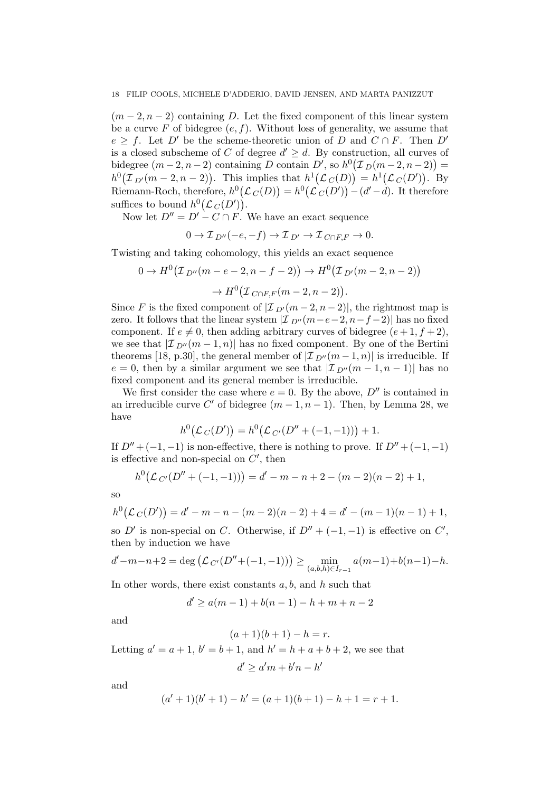$(m-2, n-2)$  containing D. Let the fixed component of this linear system be a curve F of bidegree  $(e, f)$ . Without loss of generality, we assume that  $e \geq f$ . Let D' be the scheme-theoretic union of D and  $C \cap F$ . Then D' is a closed subscheme of C of degree  $d' \geq d$ . By construction, all curves of bidegree  $(m-2, n-2)$  containing D contain D', so  $h^0(\mathcal{I}_D(m-2, n-2)) =$  $h^0(\mathcal{I}_{D'}(m-2,n-2))$ . This implies that  $h^1(\mathcal{L}_C(D)) = h^1(\mathcal{L}_C(D'))$ . By Riemann-Roch, therefore,  $h^0(\mathcal{L}_C(D)) = h^0(\mathcal{L}_C(D')) - (d' - d)$ . It therefore suffices to bound  $h^0(\mathcal{L}_C(D'))$ .

Now let  $D'' = D' - C \cap F'$ . We have an exact sequence

$$
0 \to \mathcal{I}_{D''}(-e, -f) \to \mathcal{I}_{D'} \to \mathcal{I}_{C \cap F, F} \to 0.
$$

Twisting and taking cohomology, this yields an exact sequence

$$
0 \to H^{0}(\mathcal{I}_{D''}(m - e - 2, n - f - 2)) \to H^{0}(\mathcal{I}_{D'}(m - 2, n - 2))
$$

$$
\to H^{0}(\mathcal{I}_{C \cap F, F}(m - 2, n - 2)).
$$

Since F is the fixed component of  $|\mathcal{I}_{D'}(m-2,n-2)|$ , the rightmost map is zero. It follows that the linear system  $\mathcal{I}_{D''}(m-e-2, n-f-2)$  has no fixed component. If  $e \neq 0$ , then adding arbitrary curves of bidegree  $(e + 1, f + 2)$ , we see that  $\mathcal{I}_{D''}(m-1,n)$  has no fixed component. By one of the Bertini theorems [18, p.30], the general member of  $|\mathcal{I}_{D''}(m-1,n)|$  is irreducible. If  $e = 0$ , then by a similar argument we see that  $|\mathcal{I}_{D''}(m-1,n-1)|$  has no fixed component and its general member is irreducible.

We first consider the case where  $e = 0$ . By the above,  $D''$  is contained in an irreducible curve C' of bidegree  $(m-1, n-1)$ . Then, by Lemma 28, we have

$$
h^{0}(\mathcal{L}_{C}(D')) = h^{0}(\mathcal{L}_{C'}(D'' + (-1,-1))) + 1.
$$

If  $D'' + (-1, -1)$  is non-effective, there is nothing to prove. If  $D'' + (-1, -1)$ is effective and non-special on  $C'$ , then

$$
h^{0}(\mathcal{L}_{C'}(D''+(-1,-1))) = d' - m - n + 2 - (m - 2)(n - 2) + 1,
$$

so

$$
h^{0}(\mathcal{L}_{C}(D')) = d' - m - n - (m - 2)(n - 2) + 4 = d' - (m - 1)(n - 1) + 1,
$$

so D' is non-special on C. Otherwise, if  $D'' + (-1, -1)$  is effective on C', then by induction we have

$$
d'-m-n+2 = \deg\left(\mathcal{L}_{C'}(D''+(-1,-1))\right) \ge \min_{(a,b,h)\in I_{r-1}} a(m-1)+b(n-1)-h.
$$

In other words, there exist constants  $a, b$ , and  $h$  such that

$$
d' \ge a(m-1) + b(n-1) - h + m + n - 2
$$

and

$$
(a+1)(b+1) - h = r.
$$

Letting  $a' = a + 1$ ,  $b' = b + 1$ , and  $h' = h + a + b + 2$ , we see that

$$
d' \ge a'm + b'n - h'
$$

and

$$
(a'+1)(b'+1) - h' = (a+1)(b+1) - h + 1 = r + 1.
$$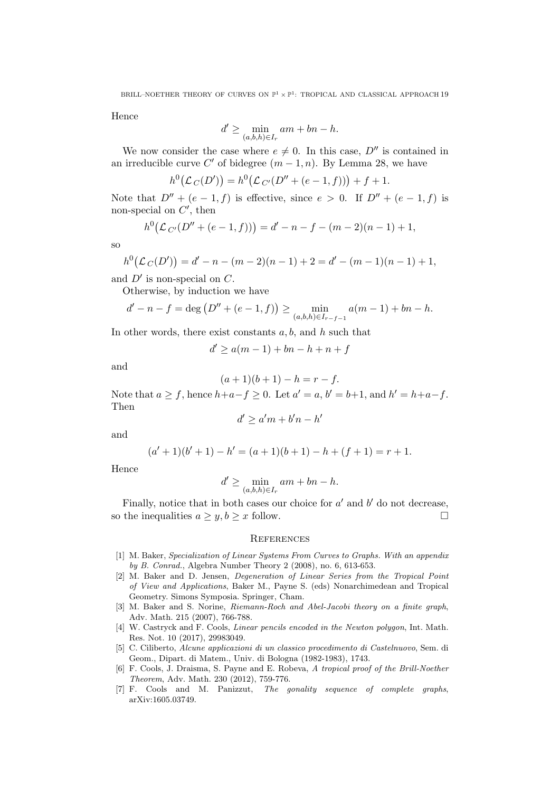BRILL–NOETHER THEORY OF CURVES ON  $\mathbb{P}^1 \times \mathbb{P}^1$ : TROPICAL AND CLASSICAL APPROACH 19

Hence

$$
d' \ge \min_{(a,b,h)\in I_r} am + bn - h.
$$

We now consider the case where  $e \neq 0$ . In this case,  $D''$  is contained in an irreducible curve C' of bidegree  $(m-1, n)$ . By Lemma 28, we have

$$
h^{0}(\mathcal{L}_{C}(D')) = h^{0}(\mathcal{L}_{C'}(D'' + (e - 1, f))) + f + 1.
$$

Note that  $D'' + (e - 1, f)$  is effective, since  $e > 0$ . If  $D'' + (e - 1, f)$  is non-special on  $C'$ , then

$$
h^{0}(\mathcal{L}_{C'}(D'' + (e - 1, f))) = d' - n - f - (m - 2)(n - 1) + 1,
$$

so

$$
h^{0}(\mathcal{L}_{C}(D')) = d' - n - (m - 2)(n - 1) + 2 = d' - (m - 1)(n - 1) + 1,
$$

and  $D'$  is non-special on  $C$ .

Otherwise, by induction we have

$$
d' - n - f = \deg (D'' + (e - 1, f)) \ge \min_{(a,b,h) \in I_{r-f-1}} a(m-1) + bn - h.
$$

In other words, there exist constants  $a, b$ , and  $h$  such that

$$
d' \ge a(m-1) + bn - h + n + f
$$

and

$$
(a+1)(b+1) - h = r - f.
$$

Note that  $a \ge f$ , hence  $h+a-f \ge 0$ . Let  $a'=a, b'=b+1$ , and  $h'=h+a-f$ . Then

$$
d' \ge a'm + b'n - h'
$$

and

$$
(a'+1)(b'+1) - h' = (a+1)(b+1) - h + (f+1) = r+1.
$$

Hence

$$
d' \ge \min_{(a,b,h)\in I_r} am + bn - h.
$$

Finally, notice that in both cases our choice for  $a'$  and  $b'$  do not decrease, so the inequalities  $a \geq y, b \geq x$  follow.

#### **REFERENCES**

- [1] M. Baker, Specialization of Linear Systems From Curves to Graphs. With an appendix by B. Conrad., Algebra Number Theory 2 (2008), no. 6, 613-653.
- [2] M. Baker and D. Jensen, Degeneration of Linear Series from the Tropical Point of View and Applications, Baker M., Payne S. (eds) Nonarchimedean and Tropical Geometry. Simons Symposia. Springer, Cham.
- [3] M. Baker and S. Norine, Riemann-Roch and Abel-Jacobi theory on a finite graph, Adv. Math. 215 (2007), 766-788.
- [4] W. Castryck and F. Cools, Linear pencils encoded in the Newton polygon, Int. Math. Res. Not. 10 (2017), 29983049.
- [5] C. Ciliberto, Alcune applicazioni di un classico procedimento di Castelnuovo, Sem. di Geom., Dipart. di Matem., Univ. di Bologna (1982-1983), 1743.
- [6] F. Cools, J. Draisma, S. Payne and E. Robeva, A tropical proof of the Brill-Noether Theorem, Adv. Math. 230 (2012), 759-776.
- [7] F. Cools and M. Panizzut, *The gonality sequence of complete graphs*, arXiv:1605.03749.